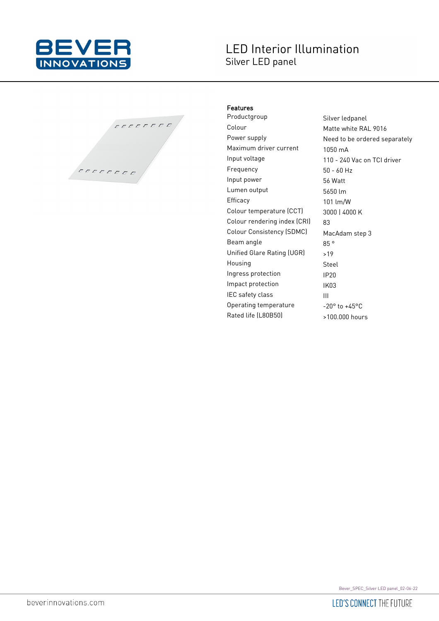

## **LED Interior Illumination** Silver LED panel



## Features

Productgroup Silver ledpanel Colour Matte white RAL 9016 Power supply **Need to be ordered separately** Maximum driver current 1050 mA Input voltage 110 - 240 Vac on TCI driver Frequency 50 - 60 Hz Input power 56 Watt Lumen output 5650 lm Efficacy 101 lm/W Colour temperature (CCT) 3000 | 4000 K Colour rendering index (CRI) 83 Colour Consistency (SDMC) MacAdam step 3 Beam angle 85 ° Unified Glare Rating (UGR) >19 Housing Steel Ingress protection IP20 Impact protection IK03 IEC safety class III Operating temperature  $-20^\circ$  to  $+45^\circ$ C Rated life (L80B50) >100.000 hours

Bever\_SPEC\_Silver LED panel\_02-06-22